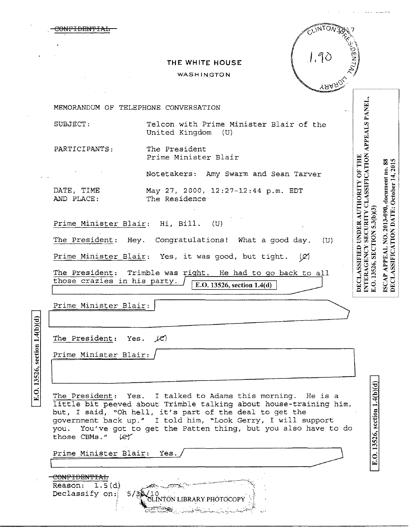|                                                    |                                 | THE WHITE HOUSE                                                                                                                                                                                                                                             |     |               |                                                              |                                                                                       |
|----------------------------------------------------|---------------------------------|-------------------------------------------------------------------------------------------------------------------------------------------------------------------------------------------------------------------------------------------------------------|-----|---------------|--------------------------------------------------------------|---------------------------------------------------------------------------------------|
|                                                    |                                 | WASHINGTON                                                                                                                                                                                                                                                  |     |               |                                                              |                                                                                       |
|                                                    |                                 |                                                                                                                                                                                                                                                             |     | <b>TAAROL</b> |                                                              |                                                                                       |
|                                                    |                                 | MEMORANDUM OF TELEPHONE CONVERSATION                                                                                                                                                                                                                        |     |               |                                                              |                                                                                       |
| SUBJECT:                                           |                                 | Telcon with Prime Minister Blair of the<br>United Kingdom (U)                                                                                                                                                                                               |     |               | APPEALS PANEL,                                               |                                                                                       |
| PARTICIPANTS:                                      |                                 | The President<br>Prime Minister Blair                                                                                                                                                                                                                       |     |               |                                                              |                                                                                       |
|                                                    |                                 | Notetakers: Amy Swarm and Sean Tarver                                                                                                                                                                                                                       |     |               |                                                              |                                                                                       |
| DATE, TIME<br>AND PLACE:                           |                                 | May 27, 2000, 12:27-12:44 p.m. EDT<br>The Residence                                                                                                                                                                                                         |     |               | <b>CLASSIFICATION</b><br>DECLASSIFIED UNDER AUTHORITY OF THE | ISCAP APPEAL NO. 2013-090, document no. 88<br>DECLASSIFICATION DATE: October 14, 2015 |
|                                                    |                                 | Prime Minister Blair: Hi, Bill.<br>(U)                                                                                                                                                                                                                      |     |               | <b>SECURITY</b>                                              |                                                                                       |
|                                                    |                                 | The President: Hey. Congratulations! What a good day.                                                                                                                                                                                                       |     | (U)           |                                                              |                                                                                       |
|                                                    |                                 | Prime Minister Blair: Yes, it was good, but tight.                                                                                                                                                                                                          | (Ø) |               |                                                              |                                                                                       |
|                                                    | those crazies in his party.     | The President: Trimble was right. He had to go back to all<br>E.O. 13526, section $1.4(d)$                                                                                                                                                                  |     |               | E.O. 13526, SECTION 5.3(b)(3)<br><b>INTERAGENCY</b>          |                                                                                       |
|                                                    | Prime Minister Blair:           |                                                                                                                                                                                                                                                             |     |               |                                                              |                                                                                       |
|                                                    | The President: Yes. $\angle$ e) |                                                                                                                                                                                                                                                             |     |               |                                                              |                                                                                       |
|                                                    | Prime Minister Blair:           |                                                                                                                                                                                                                                                             |     |               |                                                              |                                                                                       |
|                                                    |                                 |                                                                                                                                                                                                                                                             |     |               |                                                              |                                                                                       |
| E.O. 13526, section 1.4(b)(d)                      |                                 | The President: Yes. I talked to Adams this morning. He is a<br>little bit peeved about Trimble talking about house-training him,<br>but, I said, "Oh hell, it's part of the deal to get the<br>government back up." I told him, "Look Gerry, I will support |     |               | E.O. 13526, section 1.4(b)(d)                                |                                                                                       |
|                                                    | those CBMs." Let                | you. You've got to get the Patten thing, but you also have to do                                                                                                                                                                                            |     |               |                                                              |                                                                                       |
|                                                    | Prime Minister Blair: Yes.      |                                                                                                                                                                                                                                                             |     |               |                                                              |                                                                                       |
| CONFIDENTIAL<br>Reason: $1.5(d)$<br>Declassify on: | 5/3                             | EINTON LIBRARY PHÓTOCOPY                                                                                                                                                                                                                                    |     |               |                                                              |                                                                                       |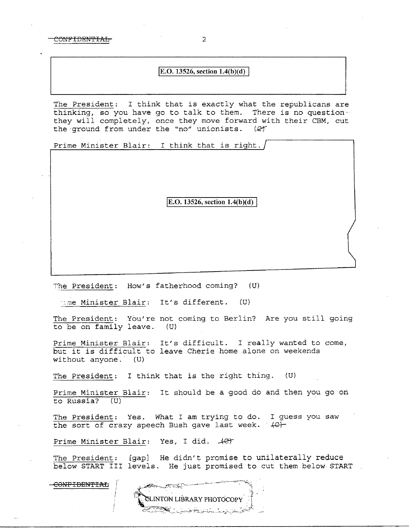CONFIDENTIAL 2

## **E.O.** 13526, section  $1.4(b)(d)$

The President: I think that is exactly what the republicans are thinking, so you have go to talk to them. There is no question·· they will completely, once they move forward with their CBM, cut<br>the ground from under the "no" unionists.  $(2)$ the ground from under the "no" unionists.

Prime Minister Blair: I think that is right.

**E.O. 13526, section 1.4(b)(d)** 

"he President: How's fatherhood coming? {U)

·.:me Minister Blair: It's different. (U)

The President: You're not coming to Berlin? Are you still going<br>to be on family leave. (U) to be on family leave.

Prime Minister Blair: It's difficult. I really wanted to come, but it is difficult to leave Cherie home alone on weekends without anyone. (U) without anyone.

The President: I think that is the right thing. (U)

Prime Minister Blair: It should be a good do and then you go on to Russia? (U)

The President: Yes. What I am trying to do. I guess you saw the sort of crazy speech Bush gave last week.  $\{C\}$ 

Prime Minister Blair: Yes, I did.  $\mathcal{L}$ et

The President: [gap] He didn't promise to unilaterally reduce below START III levels. He just promised to cut them below START

C<del>ONFIDENTIAL</del>

VTON LIBRARY PHOTOCOP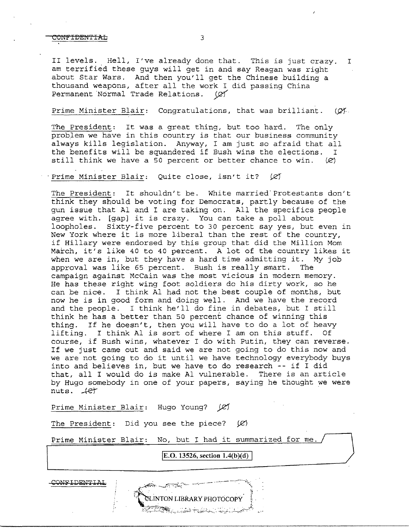## CONFIDENTIAL 3

II levels. Hell, I've already done that. This is just crazy. I am terrified these guys will get in and say Reagan was right about Star Wars. And then you'll get the Chinese building a thousand weapons, after all the work I did passing China Permanent Normal Trade Relations.  $(Q)$ 

## Prime Minister Blair: Congratulations, that was brilliant.  $(Q^x)$ .

The President: It was a great thing, but too hard. The only problem we have in this country is that our business community always kills legislation. Anyway, I am just so afraid that all the benefits will be squandered if Bush wins the elections. I still think we have a 50 percent or better chance to win.  $(2)$ 

Prime Minister Blair: Quite close, isn't it?  $\varnothing$ 

The President: It shouldn't be. White married'Protestants don't think they should be voting for Democrats, partly because of the gun issue that Al and I are taking on. All the specifics people agree with. [gap] it is crazy. You can take a poll about loopholes. Sixty-five percent to 30 percent say yes, but even in New York where it is more liberal than the rest of the country, if Hillary were endorsed by this group that did the Million Mom March, it's like 40 to 40 percent. A lot of the country likes it when we are in, but they have a hard time admitting it. My job approval was like 65 percent. Bush is really smart. The campaign against McCain was the most vicious in modern memory. He has these right wing foot soldiers do his dirty work, so he can be nice. I think Al had not the best couple of months, but now he is in good form and doing well. And we have the record and the people. I think he'll do fine in debates, but I still think he has a better than 50 percent chance of winning this thing. If he doesn't, then you will have to do a lot of heavy lifting. I think Al is sort of where I am on this stuff. Of course, if Bush wins, whatever I do with Putin, they can reverse. If we just came out and said we are not going to do this now and we are not going to do it until we have technology everybody buys into and believes in, but we have to do research -- if I did that, all I would do is make Al vulnerable. There is an article by Hugo somebody in one of your papers, saying he thought we were nuts.  $+e^r$ 

Prime Minister Blair: Hugo Young? (2)

The President: Did you see the piece?  $(\varnothing)$ 

Prime Minister Blair: No, but I had it summarized for me.

**E.O. 13526, section 1.4(b)(d)** 

CONFIDENTIAL

CLINTON LIBRARY PHOTOCOPY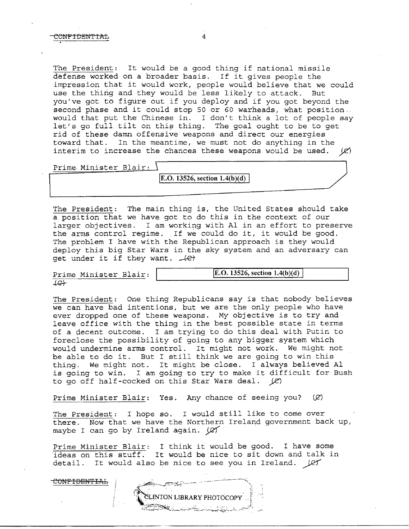The President: It would be a good thing if national missile defense worked on a broader basis. If it gives people the impression that it would work, people would believe that we could use the thing and they would be less likely to attack. But you've got to figure out if you deploy and if you got beyond the second phase and it could stop 50 or 60 warheads, what position .. would that put the Chinese in. I don't think a lot of people say let's go full tilt on this thing. The goal ought to be to get rid of these damn offensive weapons and direct our energies toward that. In the meantime, we must not do anything in the interim to increase the chances these weapons would be used.  $(X)$ 

Prime Minister Blair:

**IE.O. 13526, section 1.4(b)(d)** 

The President: The main thing is, the United States should take a position that we have got to do this in the context of our larger objectives. I am working with Al *in* an effort to preserve the arms control regime. If we could do *it, it* would be good. The problem I have with the Republican approach is they would deploy this big Star Wars in the sky system and an adversary can get under it if they want.  $\overrightarrow{e}$ 

*Prime* Minister Blair:  $f \leftrightarrow$ 

 $\frac{1}{2}$  ,  $\frac{1}{2}$  ,  $\frac{1}{2}$  ,  $\frac{1}{2}$  ,  $\frac{1}{2}$  ,  $\frac{1}{2}$  ,  $\frac{1}{2}$  ,  $\frac{1}{2}$  ,  $\frac{1}{2}$  ,  $\frac{1}{2}$  ,  $\frac{1}{2}$  ,  $\frac{1}{2}$  ,  $\frac{1}{2}$  ,  $\frac{1}{2}$  ,  $\frac{1}{2}$  ,  $\frac{1}{2}$  ,  $\frac{1}{2}$  ,  $\frac{1}{2}$  ,  $\frac{1$ 

The President: One thing Republicans say is that nobody believes we can have bad intentions, but we are the only people who have ever dropped one of these weapons. My objective is to try and leave office with the thing in the best possible state in terms of a decent outcome. I am trying to do this deal with Putin to foreclose the possibility of going to any bigger system which would undermine arms control. It might not work. We might not be able to do it. But I still think we are going to win this thing. We might not. It might be close. I always believed Al is going to win. I am going to try to make it difficult for Bush to go off half-cocked on this Star Wars deal.  $\cancel{\ell\ell}$ 

Prime Minister Blair: Yes. Any chance of seeing you?  $(\varnothing)$ 

The President: I hope so. I would still like to come over there. Now that we have the Northern Ireland government back up, maybe I can go by Ireland again.  $(2)$ 

Prime Minister Blair: I think it would be good. I have some ideas on this stuff. It would be nice to sit down and talk in detail. It would also be nice to see you in Ireland.  $\cancel{\varphi\gamma}$